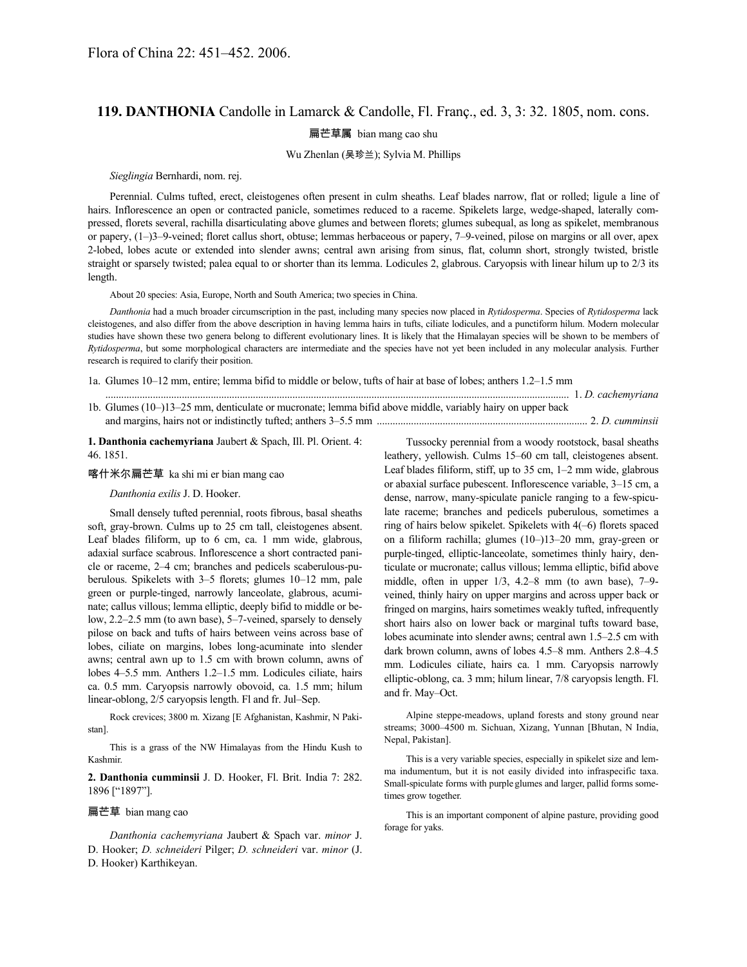## **119. DANTHONIA** Candolle in Lamarck & Candolle, Fl. Franç., ed. 3, 3: 32. 1805, nom. cons.

扁芒草属 bian mang cao shu

## Wu Zhenlan (吴珍兰); Sylvia M. Phillips

*Sieglingia* Bernhardi, nom. rej.

Perennial. Culms tufted, erect, cleistogenes often present in culm sheaths. Leaf blades narrow, flat or rolled; ligule a line of hairs. Inflorescence an open or contracted panicle, sometimes reduced to a raceme. Spikelets large, wedge-shaped, laterally compressed, florets several, rachilla disarticulating above glumes and between florets; glumes subequal, as long as spikelet, membranous or papery, (1–)3–9-veined; floret callus short, obtuse; lemmas herbaceous or papery, 7–9-veined, pilose on margins or all over, apex 2-lobed, lobes acute or extended into slender awns; central awn arising from sinus, flat, column short, strongly twisted, bristle straight or sparsely twisted; palea equal to or shorter than its lemma. Lodicules 2, glabrous. Caryopsis with linear hilum up to 2/3 its length.

About 20 species: Asia, Europe, North and South America; two species in China.

*Danthonia* had a much broader circumscription in the past, including many species now placed in *Rytidosperma*. Species of *Rytidosperma* lack cleistogenes, and also differ from the above description in having lemma hairs in tufts, ciliate lodicules, and a punctiform hilum. Modern molecular studies have shown these two genera belong to different evolutionary lines. It is likely that the Himalayan species will be shown to be members of *Rytidosperma*, but some morphological characters are intermediate and the species have not yet been included in any molecular analysis. Further research is required to clarify their position.

1a. Glumes 10–12 mm, entire; lemma bifid to middle or below, tufts of hair at base of lobes; anthers 1.2–1.5 mm

| 1b. Glumes (10–)13–25 mm, denticulate or mucronate; lemma bifid above middle, variably hairy on upper back |  |
|------------------------------------------------------------------------------------------------------------|--|
|                                                                                                            |  |

**1. Danthonia cachemyriana** Jaubert & Spach, Ill. Pl. Orient. 4: 46. 1851.

喀什米尔扁芒草 ka shi mi er bian mang cao

*Danthonia exilis* J. D. Hooker.

Small densely tufted perennial, roots fibrous, basal sheaths soft, gray-brown. Culms up to 25 cm tall, cleistogenes absent. Leaf blades filiform, up to 6 cm, ca. 1 mm wide, glabrous, adaxial surface scabrous. Inflorescence a short contracted panicle or raceme, 2–4 cm; branches and pedicels scaberulous-puberulous. Spikelets with 3–5 florets; glumes 10–12 mm, pale green or purple-tinged, narrowly lanceolate, glabrous, acuminate; callus villous; lemma elliptic, deeply bifid to middle or below, 2.2–2.5 mm (to awn base), 5–7-veined, sparsely to densely pilose on back and tufts of hairs between veins across base of lobes, ciliate on margins, lobes long-acuminate into slender awns; central awn up to 1.5 cm with brown column, awns of lobes 4–5.5 mm. Anthers 1.2–1.5 mm. Lodicules ciliate, hairs ca. 0.5 mm. Caryopsis narrowly obovoid, ca. 1.5 mm; hilum linear-oblong, 2/5 caryopsis length. Fl and fr. Jul–Sep.

Rock crevices; 3800 m. Xizang [E Afghanistan, Kashmir, N Pakistan].

This is a grass of the NW Himalayas from the Hindu Kush to Kashmir.

**2. Danthonia cumminsii** J. D. Hooker, Fl. Brit. India 7: 282. 1896 ["1897"].

## 扁芒草 bian mang cao

*Danthonia cachemyriana* Jaubert & Spach var. *minor* J. D. Hooker; *D. schneideri* Pilger; *D. schneideri* var. *minor* (J. D. Hooker) Karthikeyan.

Tussocky perennial from a woody rootstock, basal sheaths leathery, yellowish. Culms 15–60 cm tall, cleistogenes absent. Leaf blades filiform, stiff, up to 35 cm, 1–2 mm wide, glabrous or abaxial surface pubescent. Inflorescence variable, 3–15 cm, a dense, narrow, many-spiculate panicle ranging to a few-spiculate raceme; branches and pedicels puberulous, sometimes a ring of hairs below spikelet. Spikelets with 4(–6) florets spaced on a filiform rachilla; glumes (10–)13–20 mm, gray-green or purple-tinged, elliptic-lanceolate, sometimes thinly hairy, denticulate or mucronate; callus villous; lemma elliptic, bifid above middle, often in upper 1/3, 4.2–8 mm (to awn base), 7–9 veined, thinly hairy on upper margins and across upper back or fringed on margins, hairs sometimes weakly tufted, infrequently short hairs also on lower back or marginal tufts toward base, lobes acuminate into slender awns; central awn 1.5–2.5 cm with dark brown column, awns of lobes 4.5–8 mm. Anthers 2.8–4.5 mm. Lodicules ciliate, hairs ca. 1 mm. Caryopsis narrowly elliptic-oblong, ca. 3 mm; hilum linear, 7/8 caryopsis length. Fl. and fr. May–Oct.

Alpine steppe-meadows, upland forests and stony ground near streams; 3000–4500 m. Sichuan, Xizang, Yunnan [Bhutan, N India, Nepal, Pakistan].

This is a very variable species, especially in spikelet size and lemma indumentum, but it is not easily divided into infraspecific taxa. Small-spiculate forms with purple glumes and larger, pallid forms sometimes grow together.

This is an important component of alpine pasture, providing good forage for yaks.